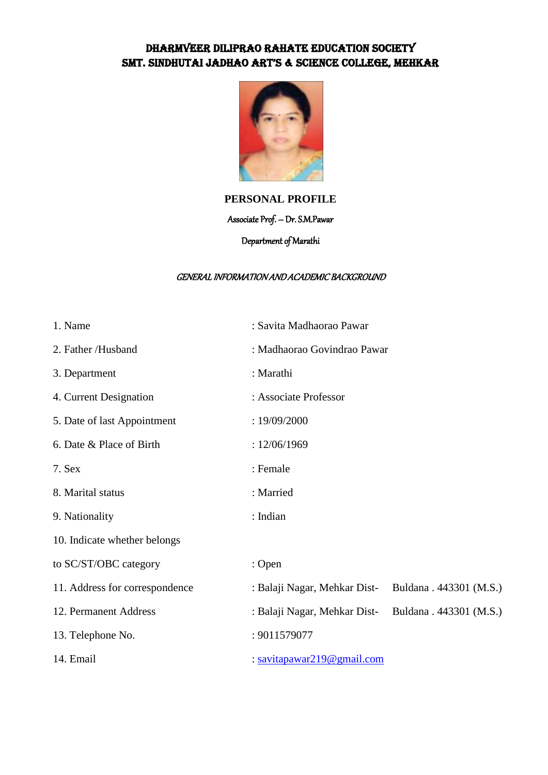## DHARMVEER DILIPRAO RAHATE EDUCATION SOCIETY SMT. SINDHUTAI JADHAO ART'S & SCIENCE COLLEGE, MEHKAR



## **PERSONAL PROFILE**

#### Associate Prof. – Dr. S.M.Pawar

## Department of Marathi

#### GENERAL INFORMATION AND ACADEMIC BACKGROUND

| 1. Name                        | : Savita Madhaorao Pawar     |                         |  |
|--------------------------------|------------------------------|-------------------------|--|
| 2. Father /Husband             | : Madhaorao Govindrao Pawar  |                         |  |
| 3. Department                  | : Marathi                    |                         |  |
| 4. Current Designation         | : Associate Professor        |                         |  |
| 5. Date of last Appointment    | : 19/09/2000                 |                         |  |
| 6. Date & Place of Birth       | : 12/06/1969                 |                         |  |
| 7. Sex                         | : Female                     |                         |  |
| 8. Marital status              | : Married                    |                         |  |
| 9. Nationality                 | : Indian                     |                         |  |
| 10. Indicate whether belongs   |                              |                         |  |
| to SC/ST/OBC category          | : Open                       |                         |  |
| 11. Address for correspondence | : Balaji Nagar, Mehkar Dist- | Buldana . 443301 (M.S.) |  |
| 12. Permanent Address          | : Balaji Nagar, Mehkar Dist- | Buldana . 443301 (M.S.) |  |
| 13. Telephone No.              | : 9011579077                 |                         |  |
| 14. Email                      | : savitapawar219@gmail.com   |                         |  |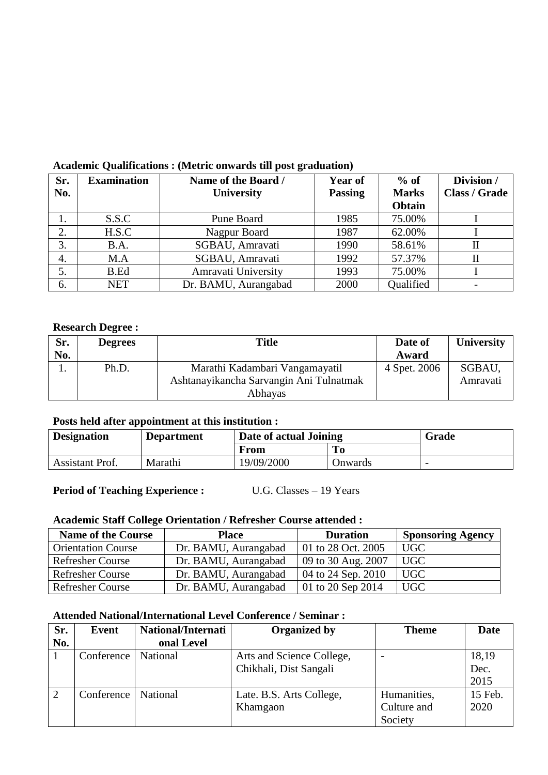| Sr. | <b>Examination</b> | Name of the Board /  | <b>Year of</b> | $%$ of       | Division /           |
|-----|--------------------|----------------------|----------------|--------------|----------------------|
| No. |                    | University           | <b>Passing</b> | <b>Marks</b> | <b>Class / Grade</b> |
|     |                    |                      |                | Obtain       |                      |
|     | S.S.C              | Pune Board           | 1985           | 75.00%       |                      |
| 2.  | H.S.C              | Nagpur Board         | 1987           | 62.00%       |                      |
| 3.  | B.A.               | SGBAU, Amravati      | 1990           | 58.61%       |                      |
| 4.  | M.A                | SGBAU, Amravati      | 1992           | 57.37%       |                      |
| 5.  | B.Ed               | Amravati University  | 1993           | 75.00%       |                      |
| 6.  | <b>NET</b>         | Dr. BAMU, Aurangabad | 2000           | Qualified    |                      |

# **Academic Qualifications : (Metric onwards till post graduation)**

### **Research Degree :**

| Sr. | <b>Degrees</b> | Title                                   | Date of      | <b>University</b> |
|-----|----------------|-----------------------------------------|--------------|-------------------|
| No. |                |                                         | Award        |                   |
|     | Ph.D.          | Marathi Kadambari Vangamayatil          | 4 Spet. 2006 | SGBAU,            |
|     |                | Ashtanayikancha Sarvangin Ani Tulnatmak |              | Amravati          |
|     |                | Abhayas                                 |              |                   |

## **Posts held after appointment at this institution :**

| <b>Designation</b> | <b>Department</b> | Date of actual Joining |                | Grade                    |
|--------------------|-------------------|------------------------|----------------|--------------------------|
|                    |                   | From                   | T <sub>0</sub> |                          |
| Assistant Prof.    | Marathi           | 19/09/2000             | Onwards        | $\overline{\phantom{0}}$ |

# **Period of Teaching Experience :** U.G. Classes – 19 Years

### **Academic Staff College Orientation / Refresher Course attended :**

| <b>Name of the Course</b> | <b>Place</b>         | <b>Duration</b>                        | <b>Sponsoring Agency</b>     |
|---------------------------|----------------------|----------------------------------------|------------------------------|
| <b>Orientation Course</b> | Dr. BAMU, Aurangabad | 01 to 28 Oct. 2005                     | UGC                          |
| <b>Refresher Course</b>   | Dr. BAMU, Aurangabad | $\vert$ 09 to 30 Aug. 2007             | <b>UGC</b>                   |
| <b>Refresher Course</b>   | Dr. BAMU, Aurangabad | 04 to 24 Sep. 2010                     | <b>UGC</b>                   |
| <b>Refresher Course</b>   | Dr. BAMU, Aurangabad | $ 01 \text{ to } 20 \text{ Sep } 2014$ | $\overline{\phantom{a}}$ UGC |

### **Attended National/International Level Conference / Seminar :**

| Sr. | Event      | <b>National/Internati</b> | Organized by              | <b>Theme</b> | <b>Date</b> |
|-----|------------|---------------------------|---------------------------|--------------|-------------|
| No. |            | onal Level                |                           |              |             |
|     | Conference | <b>National</b>           | Arts and Science College, |              | 18,19       |
|     |            |                           | Chikhali, Dist Sangali    |              | Dec.        |
|     |            |                           |                           |              | 2015        |
| 2   | Conference | National                  | Late. B.S. Arts College,  | Humanities,  | 15 Feb.     |
|     |            |                           | Khamgaon                  | Culture and  | 2020        |
|     |            |                           |                           | Society      |             |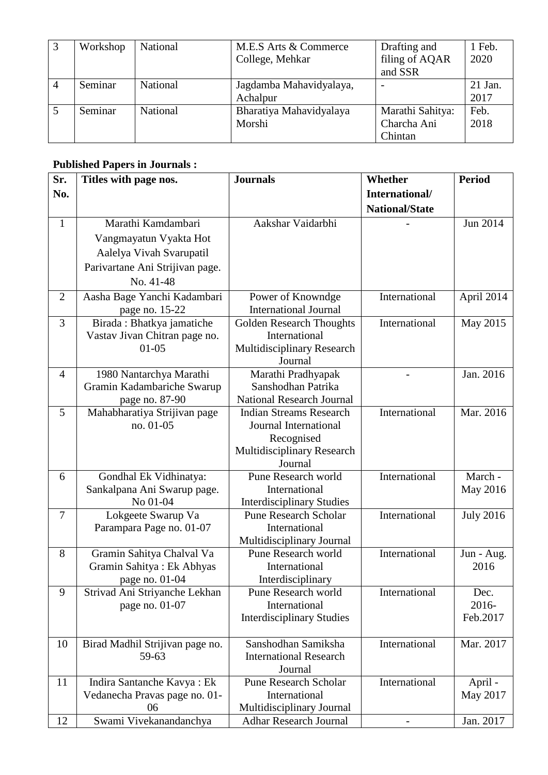| Workshop | National | M.E.S Arts & Commerce<br>College, Mehkar | Drafting and<br>filing of AQAR<br>and SSR  | 1 Feb.<br>2020    |
|----------|----------|------------------------------------------|--------------------------------------------|-------------------|
| Seminar  | National | Jagdamba Mahavidyalaya,<br>Achalpur      | $\overline{\phantom{0}}$                   | $21$ Jan.<br>2017 |
| Seminar  | National | Bharatiya Mahavidyalaya<br>Morshi        | Marathi Sahitya:<br>Charcha Ani<br>Chintan | Feb.<br>2018      |

## **Published Papers in Journals :**

| Sr.            | Titles with page nos.           | <b>Journals</b>                                 | Whether               | <b>Period</b>    |
|----------------|---------------------------------|-------------------------------------------------|-----------------------|------------------|
| No.            |                                 |                                                 | International/        |                  |
|                |                                 |                                                 | <b>National/State</b> |                  |
| $\mathbf{1}$   | Marathi Kamdambari              | Aakshar Vaidarbhi                               |                       | Jun 2014         |
|                | Vangmayatun Vyakta Hot          |                                                 |                       |                  |
|                | Aalelya Vivah Svarupatil        |                                                 |                       |                  |
|                | Parivartane Ani Strijivan page. |                                                 |                       |                  |
|                | No. 41-48                       |                                                 |                       |                  |
| $\overline{2}$ | Aasha Bage Yanchi Kadambari     | Power of Knowndge                               | International         | April 2014       |
|                | page no. 15-22                  | <b>International Journal</b>                    |                       |                  |
| 3              | Birada: Bhatkya jamatiche       | <b>Golden Research Thoughts</b>                 | International         | May 2015         |
|                | Vastav Jivan Chitran page no.   | International                                   |                       |                  |
|                | $01 - 05$                       | Multidisciplinary Research                      |                       |                  |
|                |                                 | Journal                                         |                       |                  |
| $\overline{4}$ | 1980 Nantarchya Marathi         | Marathi Pradhyapak                              |                       | Jan. 2016        |
|                | Gramin Kadambariche Swarup      | Sanshodhan Patrika                              |                       |                  |
|                | page no. 87-90                  | <b>National Research Journal</b>                |                       |                  |
| 5              | Mahabharatiya Strijivan page    | <b>Indian Streams Research</b>                  | International         | Mar. 2016        |
|                | no. 01-05                       | Journal International                           |                       |                  |
|                |                                 | Recognised<br><b>Multidisciplinary Research</b> |                       |                  |
|                |                                 | Journal                                         |                       |                  |
| 6              | Gondhal Ek Vidhinatya:          | Pune Research world                             | International         | March -          |
|                | Sankalpana Ani Swarup page.     | International                                   |                       | May 2016         |
|                | No 01-04                        | <b>Interdisciplinary Studies</b>                |                       |                  |
| $\overline{7}$ | Lokgeete Swarup Va              | <b>Pune Research Scholar</b>                    | International         | <b>July 2016</b> |
|                | Parampara Page no. 01-07        | International                                   |                       |                  |
|                |                                 | Multidisciplinary Journal                       |                       |                  |
| 8              | Gramin Sahitya Chalval Va       | Pune Research world                             | International         | Jun - Aug.       |
|                | Gramin Sahitya: Ek Abhyas       | International                                   |                       | 2016             |
|                | page no. 01-04                  | Interdisciplinary                               |                       |                  |
| 9              | Strivad Ani Striyanche Lekhan   | Pune Research world                             | International         | Dec.             |
|                | page no. 01-07                  | International                                   |                       | 2016-            |
|                |                                 | <b>Interdisciplinary Studies</b>                |                       | Feb.2017         |
| 10             | Birad Madhil Strijivan page no. | Sanshodhan Samiksha                             | International         | Mar. 2017        |
|                | 59-63                           | <b>International Research</b>                   |                       |                  |
|                |                                 | Journal                                         |                       |                  |
| 11             | Indira Santanche Kavya: Ek      | <b>Pune Research Scholar</b>                    | International         | April -          |
|                | Vedanecha Pravas page no. 01-   | International                                   |                       | May 2017         |
|                | 06                              | Multidisciplinary Journal                       |                       |                  |
| 12             | Swami Vivekanandanchya          | <b>Adhar Research Journal</b>                   |                       | Jan. 2017        |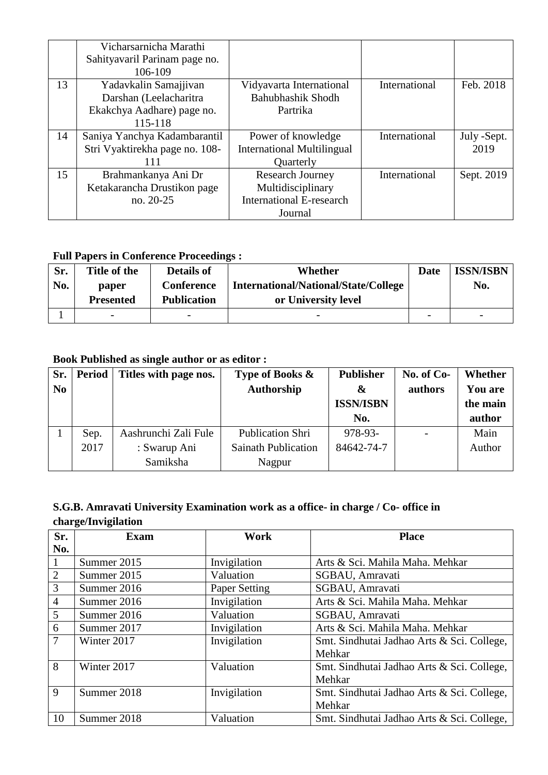|    | Vicharsarnicha Marathi         |                                   |               |             |
|----|--------------------------------|-----------------------------------|---------------|-------------|
|    | Sahityavaril Parinam page no.  |                                   |               |             |
|    | 106-109                        |                                   |               |             |
| 13 | Yadavkalin Samajjivan          | Vidyavarta International          | International | Feb. 2018   |
|    | Darshan (Leelacharitra         | <b>Bahubhashik Shodh</b>          |               |             |
|    | Ekakchya Aadhare) page no.     | Partrika                          |               |             |
|    | 115-118                        |                                   |               |             |
| 14 | Saniya Yanchya Kadambarantil   | Power of knowledge                | International | July -Sept. |
|    | Stri Vyaktirekha page no. 108- | <b>International Multilingual</b> |               | 2019        |
|    | 111                            | Quarterly                         |               |             |
| 15 | Brahmankanya Ani Dr            | <b>Research Journey</b>           | International | Sept. 2019  |
|    | Ketakarancha Drustikon page    | Multidisciplinary                 |               |             |
|    | no. 20-25                      | <b>International E-research</b>   |               |             |
|    |                                | Journal                           |               |             |

## **Full Papers in Conference Proceedings :**

| Sr. | Title of the             | <b>Details of</b>        | Whether                                     | Date                     | <b>ISSN/ISBN</b>         |
|-----|--------------------------|--------------------------|---------------------------------------------|--------------------------|--------------------------|
| No. | paper                    | <b>Conference</b>        | <b>International/National/State/College</b> |                          | No.                      |
|     | <b>Presented</b>         | <b>Publication</b>       | or University level                         |                          |                          |
|     | $\overline{\phantom{0}}$ | $\overline{\phantom{m}}$ | $\overline{\phantom{0}}$                    | $\overline{\phantom{0}}$ | $\overline{\phantom{a}}$ |

## **Book Published as single author or as editor :**

| Sr.            | <b>Period</b> | Titles with page nos. | Type of Books &            | <b>Publisher</b>      | No. of $Co-$ | Whether        |
|----------------|---------------|-----------------------|----------------------------|-----------------------|--------------|----------------|
| N <sub>0</sub> |               |                       | Authorship                 | $\boldsymbol{\alpha}$ | authors      | <b>You are</b> |
|                |               |                       |                            | <b>ISSN/ISBN</b>      |              | the main       |
|                |               |                       |                            | No.                   |              | author         |
|                | Sep.          | Aashrunchi Zali Fule  | <b>Publication Shri</b>    | 978-93-               |              | Main           |
|                | 2017          | : Swarup Ani          | <b>Sainath Publication</b> | 84642-74-7            |              | Author         |
|                |               | Samiksha              | Nagpur                     |                       |              |                |

## **S.G.B. Amravati University Examination work as a office- in charge / Co- office in charge/Invigilation**

| Sr.            | <b>Exam</b> | Work                 | <b>Place</b>                               |
|----------------|-------------|----------------------|--------------------------------------------|
| No.            |             |                      |                                            |
| $\mathbf{1}$   | Summer 2015 | Invigilation         | Arts & Sci. Mahila Maha. Mehkar            |
| $\overline{2}$ | Summer 2015 | Valuation            | SGBAU, Amravati                            |
| 3              | Summer 2016 | <b>Paper Setting</b> | SGBAU, Amravati                            |
| $\overline{4}$ | Summer 2016 | Invigilation         | Arts & Sci. Mahila Maha. Mehkar            |
| 5              | Summer 2016 | Valuation            | SGBAU, Amravati                            |
| 6              | Summer 2017 | Invigilation         | Arts & Sci. Mahila Maha. Mehkar            |
| $\tau$         | Winter 2017 | Invigilation         | Smt. Sindhutai Jadhao Arts & Sci. College, |
|                |             |                      | Mehkar                                     |
| 8              | Winter 2017 | Valuation            | Smt. Sindhutai Jadhao Arts & Sci. College, |
|                |             |                      | Mehkar                                     |
| 9              | Summer 2018 | Invigilation         | Smt. Sindhutai Jadhao Arts & Sci. College, |
|                |             |                      | Mehkar                                     |
| 10             | Summer 2018 | Valuation            | Smt. Sindhutai Jadhao Arts & Sci. College, |